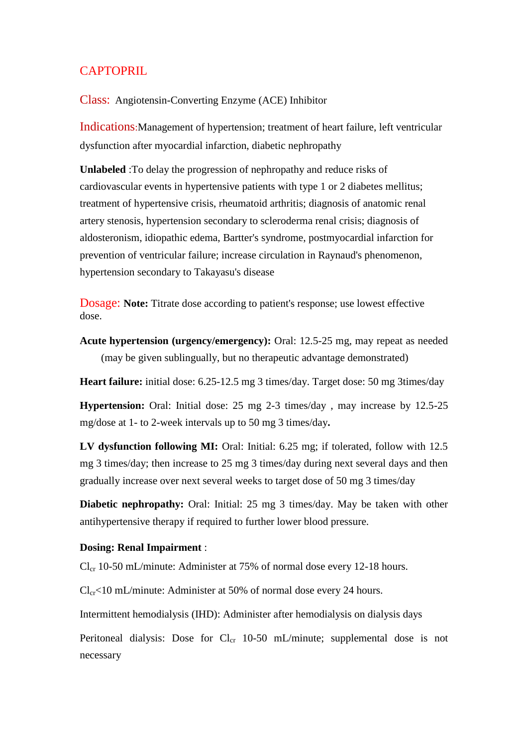## **CAPTOPRIL**

## Class: Angiotensin-Converting Enzyme (ACE) Inhibitor

Indications:Management of hypertension; treatment of heart failure, left ventricular dysfunction after myocardial infarction, diabetic nephropathy

**Unlabeled** :To delay the progression of nephropathy and reduce risks of cardiovascular events in hypertensive patients with type 1 or 2 diabetes mellitus; treatment of hypertensive crisis, rheumatoid arthritis; diagnosis of anatomic renal artery stenosis, hypertension secondary to scleroderma renal crisis; diagnosis of aldosteronism, idiopathic edema, Bartter's syndrome, postmyocardial infarction for prevention of ventricular failure; increase circulation in Raynaud's phenomenon, hypertension secondary to Takayasu's disease

Dosage: **Note:** Titrate dose according to patient's response; use lowest effective dose.

**Acute hypertension (urgency/emergency):** Oral: 12.5-25 mg, may repeat as needed (may be given sublingually, but no therapeutic advantage demonstrated)

**Heart failure:** initial dose: 6.25-12.5 mg 3 times/day. Target dose: 50 mg 3times/day

**Hypertension:** Oral: Initial dose: 25 mg 2-3 times/day , may increase by 12.5-25 mg/dose at 1- to 2-week intervals up to 50 mg 3 times/day**.**

**LV dysfunction following MI:** Oral: Initial: 6.25 mg; if tolerated, follow with 12.5 mg 3 times/day; then increase to 25 mg 3 times/day during next several days and then gradually increase over next several weeks to target dose of 50 mg 3 times/day

**Diabetic nephropathy:** Oral: Initial: 25 mg 3 times/day. May be taken with other antihypertensive therapy if required to further lower blood pressure.

## **Dosing: Renal Impairment** :

 $Cl_{cr}$  10-50 mL/minute: Administer at 75% of normal dose every 12-18 hours.

 $Cl_{cr}$ <10 mL/minute: Administer at 50% of normal dose every 24 hours.

Intermittent hemodialysis (IHD): Administer after hemodialysis on dialysis days

Peritoneal dialysis: Dose for  $Cl_{cr}$  10-50 mL/minute; supplemental dose is not necessary